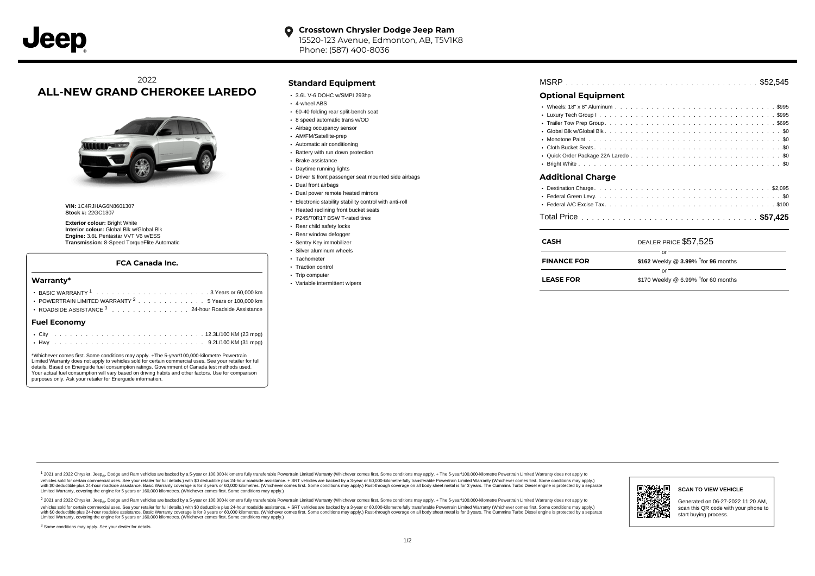# 2022 **ALL-NEW GRAND CHEROKEE LAREDO**



**VIN:** 1C4RJHAG6N8601307 **Stock #:** 22GC1307

**Exterior colour:** Bright White **Interior colour:** Global Blk w/Global Blk **Engine:** 3.6L Pentastar VVT V6 w/ESS **Transmission:** 8-Speed TorqueFlite Automatic

#### **FCA Canada Inc.**

#### **Warranty\***

| <b>Fuel Economv</b>                                            |  |  |  |  |  |  |  |
|----------------------------------------------------------------|--|--|--|--|--|--|--|
| ROADSIDE ASSISTANCE 3 24-hour Roadside Assistance              |  |  |  |  |  |  |  |
| POWERTRAIN LIMITED WARRANTY <sup>2</sup> 5 Years or 100,000 km |  |  |  |  |  |  |  |
|                                                                |  |  |  |  |  |  |  |
|                                                                |  |  |  |  |  |  |  |

\*Whichever comes first. Some conditions may apply. +The 5-year/100,000-kilometre Powertrain Limited Warranty does not apply to vehicles sold for certain commercial uses. See your retailer for full details. Based on Energuide fuel consumption ratings. Government of Canada test methods used. Your actual fuel consumption will vary based on driving habits and other factors. Use for comparison purposes only. Ask your retailer for Energuide information.

. . . . . . . . . . . . . . . . . . . . . . . . . . . . . . . . . . . . . . . . . . . Hwy 9.2L/100 KM (31 mpg)

### **Standard Equipment**

- 3.6L V-6 DOHC w/SMPI 293hp
- 4-wheel ABS
- 60-40 folding rear split-bench seat
- 8 speed automatic trans w/OD
- Airbag occupancy sensor
- AM/FM/Satellite-prep
- Automatic air conditioning
- Battery with run down protection Brake assistance
- Daytime running lights
- Driver & front passenger seat mounted side airbags
- Dual front airbags
- Dual power remote heated mirrors
- Electronic stability stability control with anti-roll
- Heated reclining front bucket seats
- P245/70R17 BSW T-rated tires
- Rear child safety locks
- Rear window defogger
- Sentry Key immobilizer
- Silver aluminum wheels
- Tachometer
- Traction control
- Trip computer
- Variable intermittent wipers

| <b>MSRP</b> |  |  |
|-------------|--|--|
|-------------|--|--|

## **Optional Equipment**

| Additional Charge |  |  |  |  |  |  |  |  |  |  |  |  |  |
|-------------------|--|--|--|--|--|--|--|--|--|--|--|--|--|
|                   |  |  |  |  |  |  |  |  |  |  |  |  |  |
|                   |  |  |  |  |  |  |  |  |  |  |  |  |  |
|                   |  |  |  |  |  |  |  |  |  |  |  |  |  |
|                   |  |  |  |  |  |  |  |  |  |  |  |  |  |

|--|--|--|

| CASH               | DEALER PRICE \$57,525                              |
|--------------------|----------------------------------------------------|
| <b>FINANCE FOR</b> | \$162 Weekly @ $3.99\%$ <sup>†</sup> for 96 months |
| <b>LEASE FOR</b>   | \$170 Weekly @ 6.99% $†$ for 60 months             |

1 2021 and 2022 Chrysler, Jeep<sub>en</sub> Dodge and Ram vehicles are backed by a 5-year or 100,000-kilometre fully transferable Powertrain Limited Warranty (Whichever comes first. Some conditions may apply. + The 5-year/100,000-k vehicles sold for certain commercial uses. See your retailer for full details.) with \$0 deductible plus 24-hour roadside assistance. + SRT vehicles are backed by a 3-year or 60,000-kilometre fully transferable Powertrain L versus and contract the mean of the contract of the contract with a contract with a contract the contract of the search of the contract and a control of the contract and contract and control of the search of the search of Limited Warranty, covering the engine for 5 years or 160,000 kilometres. (Whichever comes first. Some conditions may apply.)

<sup>2</sup> 2021 and 2022 Chrysler, Jeep<sub>®</sub>, Dodge and Ram vehicles are backed by a 5-year or 100,000-kilometre fully transferable Powertrain Limited Warranty (Whichever comes first. Some conditions may apply. + The 5-year/100,000 vehicles sold for certain commercial uses. See your retailer for full details.) with SO deductible plus 24-hour roadside assistance. + SRT vehicles are backed by a 3-year or 60.000-kilometre fully transferable Powertrain L with S0 deductible plus 24-hour roadside assistance. Basic Warranty coverage is for 3 years or 60,000 kilometres. (Whichever comes first. Some conditions may apply.) Rust-through coverage on all body sheet metal is for 3 y



### **SCAN TO VIEW VEHICLE**

Generated on 06-27-2022 11:20 AM, scan this QR code with your phone to start buying process.

<sup>3</sup> Some conditions may apply. See your dealer for details.